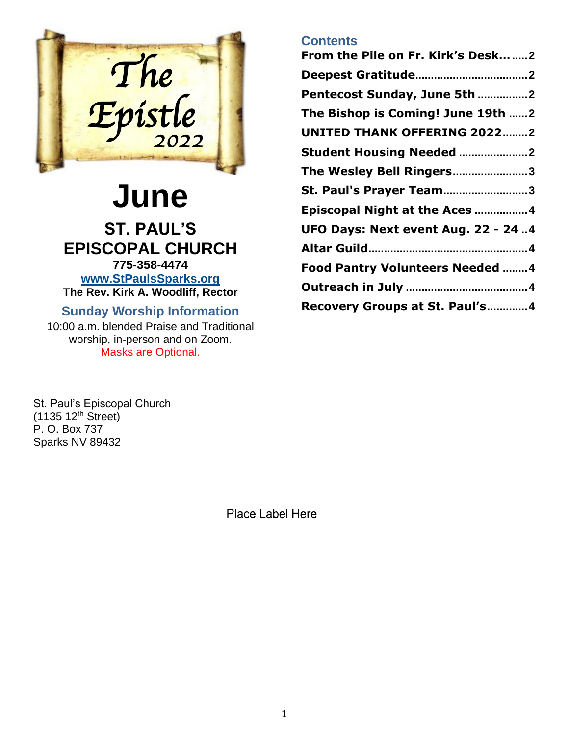

# **June ST. PAUL'S EPISCOPAL CHURCH 775-358-4474**

**[www.StPaulsSparks.org](http://www.stpaulssparks.org/) The Rev. Kirk A. Woodliff, Rector**

# **Sunday Worship Information**

10:00 a.m. blended Praise and Traditional worship, in-person and on Zoom. Masks are Optional.

St. Paul's Episcopal Church  $(1135 12<sup>th</sup> Street)$ P. O. Box 737 Sparks NV 89432

Place Label Here

# **Contents**

| From the Pile on Fr. Kirk's Desk2      |
|----------------------------------------|
|                                        |
| Pentecost Sunday, June 5th 2           |
| The Bishop is Coming! June 19th 2      |
| <b>UNITED THANK OFFERING 20222</b>     |
|                                        |
| The Wesley Bell Ringers3               |
| St. Paul's Prayer Team3                |
| Episcopal Night at the Aces 4          |
| UFO Days: Next event Aug. 22 - 24.4    |
|                                        |
| <b>Food Pantry Volunteers Needed 4</b> |
|                                        |
| Recovery Groups at St. Paul's4         |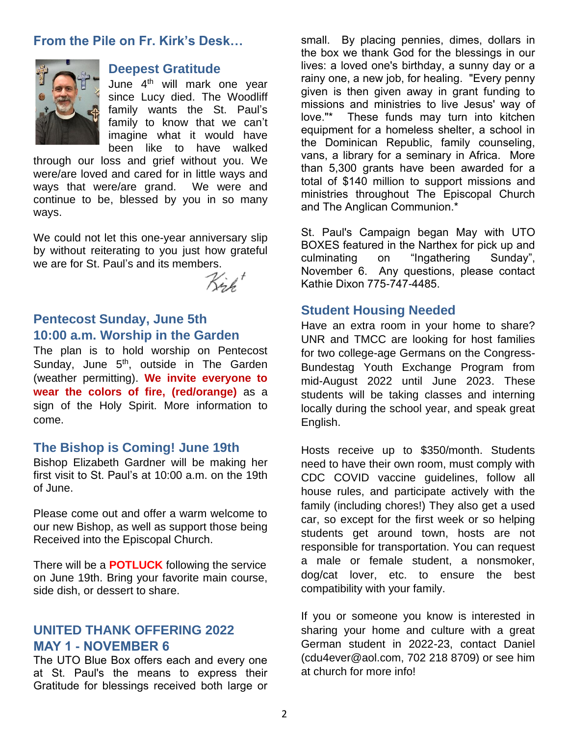### <span id="page-1-0"></span>**From the Pile on Fr. Kirk's Desk…**



#### <span id="page-1-1"></span>**Deepest Gratitude**

June 4<sup>th</sup> will mark one year since Lucy died. The Woodliff family wants the St. Paul's family to know that we can't imagine what it would have been like to have walked

through our loss and grief without you. We were/are loved and cared for in little ways and ways that were/are grand. We were and continue to be, blessed by you in so many ways.

We could not let this one-year anniversary slip by without reiterating to you just how grateful we are for St. Paul's and its members.

Kirk <sup>+</sup>

# <span id="page-1-2"></span>**Pentecost Sunday, June 5th 10:00 a.m. Worship in the Garden**

The plan is to hold worship on Pentecost Sunday, June 5<sup>th</sup>, outside in The Garden (weather permitting). **We invite everyone to wear the colors of fire, (red/orange)** as a sign of the Holy Spirit. More information to come.

### <span id="page-1-3"></span>**The Bishop is Coming! June 19th**

Bishop Elizabeth Gardner will be making her first visit to St. Paul's at 10:00 a.m. on the 19th of June.

Please come out and offer a warm welcome to our new Bishop, as well as support those being Received into the Episcopal Church.

There will be a **POTLUCK** following the service on June 19th. Bring your favorite main course, side dish, or dessert to share.

# <span id="page-1-4"></span>**UNITED THANK OFFERING 2022 MAY 1 - NOVEMBER 6**

The UTO Blue Box offers each and every one at St. Paul's the means to express their Gratitude for blessings received both large or

small. By placing pennies, dimes, dollars in the box we thank God for the blessings in our lives: a loved one's birthday, a sunny day or a rainy one, a new job, for healing. "Every penny given is then given away in grant funding to missions and ministries to live Jesus' way of love."\* These funds may turn into kitchen equipment for a homeless shelter, a school in the Dominican Republic, family counseling, vans, a library for a seminary in Africa. More than 5,300 grants have been awarded for a total of \$140 million to support missions and ministries throughout The Episcopal Church and The Anglican Communion.\*

St. Paul's Campaign began May with UTO BOXES featured in the Narthex for pick up and culminating on "Ingathering Sunday", November 6. Any questions, please contact Kathie Dixon 775-747-4485.

### <span id="page-1-5"></span>**Student Housing Needed**

Have an extra room in your home to share? UNR and TMCC are looking for host families for two college-age Germans on the Congress-Bundestag Youth Exchange Program from mid-August 2022 until June 2023. These students will be taking classes and interning locally during the school year, and speak great English.

Hosts receive up to \$350/month. Students need to have their own room, must comply with CDC COVID vaccine guidelines, follow all house rules, and participate actively with the family (including chores!) They also get a used car, so except for the first week or so helping students get around town, hosts are not responsible for transportation. You can request a male or female student, a nonsmoker, dog/cat lover, etc. to ensure the best compatibility with your family.

If you or someone you know is interested in sharing your home and culture with a great German student in 2022-23, contact Daniel (cdu4ever@aol.com, 702 218 8709) or see him at church for more info!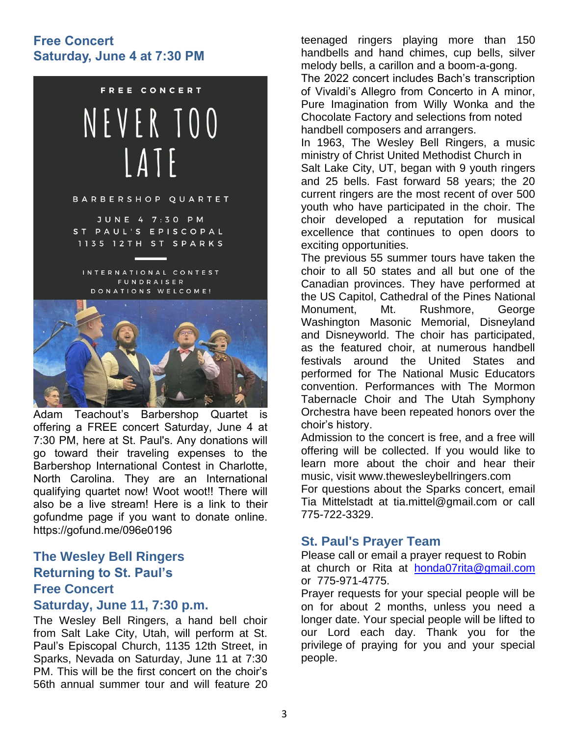# **Free Concert Saturday, June 4 at 7:30 PM**



Adam Teachout's Barbershop Quartet is offering a FREE concert Saturday, June 4 at 7:30 PM, here at St. Paul's. Any donations will go toward their traveling expenses to the Barbershop International Contest in Charlotte, North Carolina. They are an International qualifying quartet now! Woot woot!! There will also be a live stream! Here is a link to their gofundme page if you want to donate online. https://gofund.me/096e0196

# <span id="page-2-0"></span>**The Wesley Bell Ringers Returning to St. Paul's Free Concert**

#### **Saturday, June 11, 7:30 p.m.**

The Wesley Bell Ringers, a hand bell choir from Salt Lake City, Utah, will perform at St. Paul's Episcopal Church, 1135 12th Street, in Sparks, Nevada on Saturday, June 11 at 7:30 PM. This will be the first concert on the choir's 56th annual summer tour and will feature 20

teenaged ringers playing more than 150 handbells and hand chimes, cup bells, silver melody bells, a carillon and a boom-a-gong.

The 2022 concert includes Bach's transcription of Vivaldi's Allegro from Concerto in A minor, Pure Imagination from Willy Wonka and the Chocolate Factory and selections from noted handbell composers and arrangers.

In 1963, The Wesley Bell Ringers, a music ministry of Christ United Methodist Church in Salt Lake City, UT, began with 9 youth ringers and 25 bells. Fast forward 58 years; the 20 current ringers are the most recent of over 500 youth who have participated in the choir. The choir developed a reputation for musical excellence that continues to open doors to exciting opportunities.

The previous 55 summer tours have taken the choir to all 50 states and all but one of the Canadian provinces. They have performed at the US Capitol, Cathedral of the Pines National Monument, Mt. Rushmore, George Washington Masonic Memorial, Disneyland and Disneyworld. The choir has participated, as the featured choir, at numerous handbell festivals around the United States and performed for The National Music Educators convention. Performances with The Mormon Tabernacle Choir and The Utah Symphony Orchestra have been repeated honors over the choir's history.

Admission to the concert is free, and a free will offering will be collected. If you would like to learn more about the choir and hear their music, visit www.thewesleybellringers.com

For questions about the Sparks concert, email Tia Mittelstadt at tia.mittel@gmail.com or call 775-722-3329.

# <span id="page-2-1"></span>**St. Paul's Prayer Team**

Please call or email a prayer request to Robin at church or Rita at [honda07rita@gmail.com](mailto:honda07rita@gmail.com) or 775-971-4775.

Prayer requests for your special people will be on for about 2 months, unless you need a longer date. Your special people will be lifted to our Lord each day. Thank you for the privilege of praying for you and your special people.